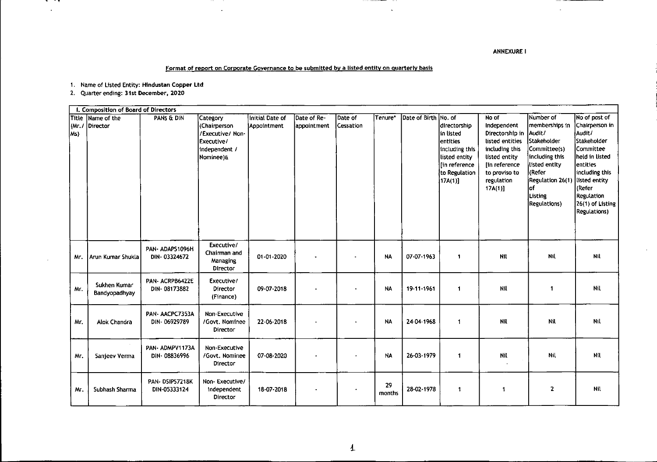ANNEXURE I

 $\omega$ 

 $\bar{z}$ 

## **Format of report on Corporate Governance to be submitted by a listed entity on quarterly basis**

-------

1. **Name of Listed Entity: Htndustan Copper ltd**

- -

 $\sim$ 

 $\overline{\phantom{a}}$ 

**2. Quarter ending: 31st December, 2020**

''1"""""--" .•.

 $\sim$ 

|                                | I. Composition of Board of Directors |                                 |                                                                                          |                                |                            |                             |              |                      |                                                                                                                        |                                                                                                                                                             |                                                                                                                                                                                 |                                                                                                                                                                                                                     |
|--------------------------------|--------------------------------------|---------------------------------|------------------------------------------------------------------------------------------|--------------------------------|----------------------------|-----------------------------|--------------|----------------------|------------------------------------------------------------------------------------------------------------------------|-------------------------------------------------------------------------------------------------------------------------------------------------------------|---------------------------------------------------------------------------------------------------------------------------------------------------------------------------------|---------------------------------------------------------------------------------------------------------------------------------------------------------------------------------------------------------------------|
| <b>Title</b><br>(Mr, r)<br>Ms) | Name of the<br>Director              | PANS & DIN                      | Category<br>(Chairperson<br>/Executive/ Non-<br>Executive/<br>independent /<br>Nominee)& | Initial Date of<br>Appointment | Date of Re-<br>appointment | Date of<br><b>Cessation</b> | Tenure*      | Date of Birth No. of | directorship<br>in listed<br>lentities<br>including this<br>listed entity<br>In reference<br>to Regulation<br>[17A(1)] | No of<br>Independent<br>Directorship in<br>listed entities<br>including this<br>listed entity<br>[in reference<br>to proviso to<br>regulation<br>$17A(1)$ ] | Number of<br>memberships in<br>Audit/<br>Stakeholder<br>Committee(s)<br>including this<br>listed entity<br>Refer <br>Regulation 26(1)<br>lof<br>Listing<br><b>Regulations</b> ) | No of post of<br>Chairperson in<br>Audit/<br> Stakeholder<br> Committee<br>held in listed<br>lentities<br>including this<br>listed entity<br>(Refer<br><b>Regulation</b><br>26(1) of Listing<br><b>Regulations)</b> |
| Mr.                            | Arun Kumar Shukla                    | PAN-ADAPS1096H<br>DIN-03324672  | Executive/<br>Chairman and<br>Managing<br>Director                                       | 01-01-2020                     |                            |                             | <b>NA</b>    | 07-07-1963           | 1                                                                                                                      | Nit                                                                                                                                                         | Nil                                                                                                                                                                             | Nil                                                                                                                                                                                                                 |
| Mr.                            | Sukhen Kumar<br>Bandyopadhyay        | PAN- ACRPB6422E<br>DIN-08173882 | Executive/<br>Director<br>(Finance)                                                      | 09-07-2018                     |                            |                             | <b>NA</b>    | 19-11-1961           | $\mathbf 1$                                                                                                            | Nil                                                                                                                                                         | $\mathbf{1}$                                                                                                                                                                    | Nil                                                                                                                                                                                                                 |
| Mr.                            | Alok Chandra                         | PAN-AACPC7353A<br>DIN-06929789  | Non-Executive<br>/Govt. Nominee<br>Director                                              | 22-06-2018                     |                            |                             | <b>NA</b>    | 24 04 1968           | 1                                                                                                                      | Nil                                                                                                                                                         | Nil                                                                                                                                                                             | Nil                                                                                                                                                                                                                 |
| Mr.                            | Sanjeev Verma                        | PAN-ADMPV1173A<br>DIN-08836996  | Non-Executive<br>/Govt. Nominee<br>Director                                              | 07-08-2020                     |                            |                             | <b>NA</b>    | 26-03-1979           | 1                                                                                                                      | Nil                                                                                                                                                         | Nil                                                                                                                                                                             | Nil                                                                                                                                                                                                                 |
| Mr.                            | Subhash Sharma                       | PAN-DSIP57218K<br>DIN-05333124  | Non-Executive/<br>Independent<br>Director                                                | 18-07-2018                     |                            |                             | 29<br>months | 28-02-1978           | 1                                                                                                                      | 1                                                                                                                                                           | $\mathbf{2}$                                                                                                                                                                    | Nil                                                                                                                                                                                                                 |

 $\mathbf{A}^{\mathrm{eff}}$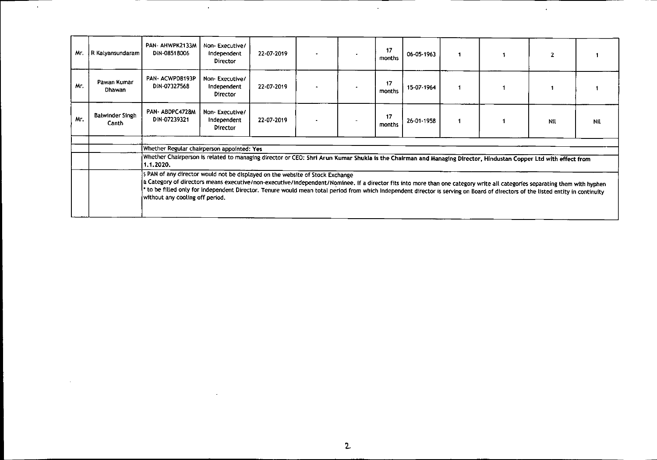| Mr. | R Kalyansundaram                | PAN- AHWPK2133M<br>DIN-08518006                                                                                                                                                                                                                                                                                                                                                                                                                                                   | Non-Executive/<br>Independent<br>Director  | 22-07-2019 |  |  | 17<br>months | 06-05-1963 |  |     |     |
|-----|---------------------------------|-----------------------------------------------------------------------------------------------------------------------------------------------------------------------------------------------------------------------------------------------------------------------------------------------------------------------------------------------------------------------------------------------------------------------------------------------------------------------------------|--------------------------------------------|------------|--|--|--------------|------------|--|-----|-----|
| Mr. | Pawan Kumar<br>Dhawan           | PAN-ACWPD8193P<br>DIN-07327568                                                                                                                                                                                                                                                                                                                                                                                                                                                    | Non-Executive/<br>Independent<br>Director  | 22-07-2019 |  |  | 17<br>months | 15-07-1964 |  |     |     |
| Mr. | <b>Balwinder Singh</b><br>Canth | PAN-ABDPC4728M<br>DIN-07239321                                                                                                                                                                                                                                                                                                                                                                                                                                                    | Non-Executive/<br>Independent<br>Director  | 22-07-2019 |  |  | 17<br>months | 26-01-1958 |  | Nil | Nil |
|     |                                 |                                                                                                                                                                                                                                                                                                                                                                                                                                                                                   |                                            |            |  |  |              |            |  |     |     |
|     |                                 |                                                                                                                                                                                                                                                                                                                                                                                                                                                                                   | Whether Regular chairperson appointed: Yes |            |  |  |              |            |  |     |     |
|     |                                 | Whether Chairperson is related to managing director or CEO: Shri Arun Kumar Shukla is the Chairman and Managing Director, Hindustan Copper Ltd with effect from<br>1.1.2020.                                                                                                                                                                                                                                                                                                      |                                            |            |  |  |              |            |  |     |     |
|     |                                 | \$ PAN of any director would not be displayed on the website of Stock Exchange<br>& Category of directors means executive/non-executive/independent/Nominee. If a director fits into more than one category write all categories separating them with hyphen<br>to be filled only for Independent Director. Tenure would mean total period from which Independent director is serving on Board of directors of the listed entity in continuity<br>without any cooling off period. |                                            |            |  |  |              |            |  |     |     |

 $\mathcal{L}^{\mathcal{L}}$ 

 $\sim$ 

 $\sim$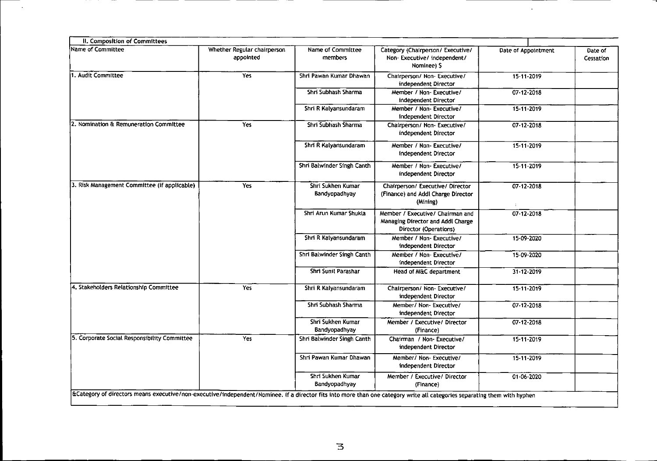| II. Composition of Committees                                                                                                                                             |                                          |                                    |                                                                                                |                                           |                      |
|---------------------------------------------------------------------------------------------------------------------------------------------------------------------------|------------------------------------------|------------------------------------|------------------------------------------------------------------------------------------------|-------------------------------------------|----------------------|
| <b>Name of Committee</b>                                                                                                                                                  | Whether Regular chairperson<br>appointed | Name of Committee<br>members       | Category (Chairperson/ Executive/<br>Non-Executive/independent/<br>Nominee) \$                 | Date of Appointment                       | Date of<br>Cessation |
| 1. Audit Committee                                                                                                                                                        | Yes                                      | Shri Pawan Kumar Dhawan            | Chairperson/ Non-Executive/<br>independent Director                                            | 15-11-2019                                |                      |
|                                                                                                                                                                           |                                          | Shri Subhash Sharma                | Member / Non- Executive/<br>independent Director                                               | 07-12-2018                                |                      |
|                                                                                                                                                                           |                                          | Shri R Kalyansundaram              | Member / Non- Executive/<br>independent Director                                               | 15-11-2019                                |                      |
| 2. Nomination & Remuneration Committee                                                                                                                                    | Yes                                      | Shri Subhash Sharma                | Chairperson/ Non-Executive/<br>independent Director                                            | 07-12-2018                                |                      |
|                                                                                                                                                                           |                                          | Shri R Kalyansundaram              | Member / Non-Executive/<br>independent Director                                                | 15-11-2019                                |                      |
|                                                                                                                                                                           |                                          | Shri Balwinder Singh Canth         | Member / Non-Executive/<br>independent Director                                                | $15-11-2019$                              |                      |
| 3. Risk Management Committee (if applicable)                                                                                                                              | Yes                                      | Shri Sukhen Kumar<br>Bandyopadhyay | Chairperson/ Executive/ Director<br>(Finance) and Addl Charge Director<br>(Mining)             | $07 - 12 - 2018$<br>$\mathbb{Z}^{\times}$ |                      |
|                                                                                                                                                                           |                                          | Shri Arun Kumar Shukla             | Member / Executive/ Chairman and<br>Managing Director and Addl Charge<br>Director (Operations) | 07-12-2018                                |                      |
|                                                                                                                                                                           |                                          | Shri R Kalyansundaram              | Member / Non- Executive/<br>independent Director                                               | 15-09-2020                                |                      |
|                                                                                                                                                                           |                                          | Shri Balwinder Singh Canth         | Member / Non-Executive/<br>independent Director                                                | 15-09-2020                                |                      |
|                                                                                                                                                                           |                                          | Shri Sunil Parashar                | Head of M&C department                                                                         | 31-12-2019                                |                      |
| 4. Stakeholders Relationship Committee                                                                                                                                    | Yes                                      | Shri R Kalyansundaram              | Chairperson/ Non- Executive/<br>independent Director                                           | 15-11-2019                                |                      |
|                                                                                                                                                                           |                                          | Shri Subhash Sharma                | Member/ Non- Executive/<br>independent Director                                                | 07-12-2018                                |                      |
|                                                                                                                                                                           |                                          | Shri Sukhen Kumar<br>Bandyopadhyay | Member / Executive/ Director<br>(Finance)                                                      | 07-12-2018                                |                      |
| 5. Corporate Social Responsibility Committee                                                                                                                              | Yes                                      | Shri Balwinder Singh Canth         | Chairman / Non- Executive/<br>independent Director                                             | $15 - 11 - 2019$                          |                      |
|                                                                                                                                                                           |                                          | Shri Pawan Kumar Dhawan            | Member/ Non- Executive/<br>independent Director                                                | 15-11-2019                                |                      |
|                                                                                                                                                                           |                                          | Shri Sukhen Kumar<br>Bandyopadhyay | Member / Executive/ Director<br>(Finance)                                                      | 01-06-2020                                |                      |
| ECategory of directors means executive/non-executive/independent/Nominee. If a director fits into more than one category write all categories separating them with hyphen |                                          |                                    |                                                                                                |                                           |                      |

\_\_\_\_\_  $\sim$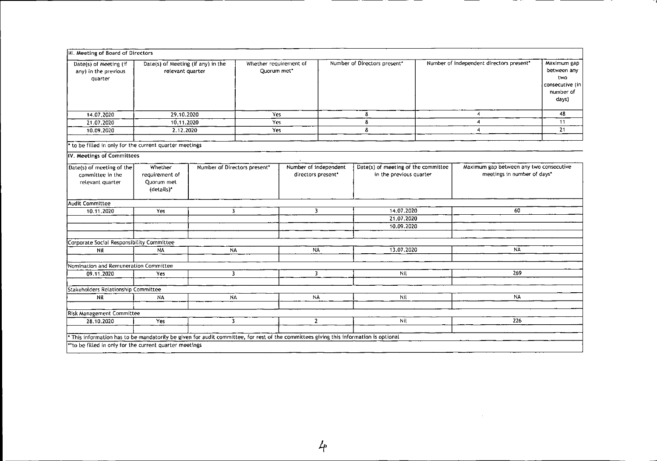| III. Meeting of Board of Directors                                                                                                  |                                                                                       |           |                                       |                                             |                              |                                                                |                                          |                                                                        |                                                                            |
|-------------------------------------------------------------------------------------------------------------------------------------|---------------------------------------------------------------------------------------|-----------|---------------------------------------|---------------------------------------------|------------------------------|----------------------------------------------------------------|------------------------------------------|------------------------------------------------------------------------|----------------------------------------------------------------------------|
| Date(s) of Meeting (if<br>any) in the previous<br>quarter                                                                           | Date(s) of Meeting (if any) in the<br>relevant quarter                                |           | Whether requirement of<br>Quorum met* |                                             | Number of Directors present* |                                                                | Number of independent directors present* |                                                                        | Maximum gap<br>between any<br>two<br>consecutive (in<br>number of<br>days) |
| 14.07.2020                                                                                                                          | 29.10.2020                                                                            |           | Yes                                   |                                             | 8                            |                                                                |                                          | 4                                                                      | 48                                                                         |
| 21.07.2020                                                                                                                          | 10.11.2020                                                                            |           | Yes                                   |                                             | 8                            |                                                                | 4                                        |                                                                        | 11                                                                         |
| 10.09.2020                                                                                                                          | 2.12.2020                                                                             |           | Yes                                   |                                             |                              | 8                                                              | 4                                        |                                                                        | 21                                                                         |
| * to be filled in only for the current quarter meetings                                                                             |                                                                                       |           |                                       |                                             |                              |                                                                |                                          |                                                                        |                                                                            |
| IV. Meetings of Committees                                                                                                          |                                                                                       |           |                                       |                                             |                              |                                                                |                                          |                                                                        |                                                                            |
| Date(s) of meeting of the<br>committee in the<br>relevant quarter                                                                   | Whether<br>Number of Directors present*<br>requirement of<br>Ouorum met<br>(details)* |           |                                       | Number of independent<br>directors present* |                              | Date(s) of meeting of the committee<br>in the previous quarter |                                          | Maximum gap between any two consecutive<br>meetings in number of days* |                                                                            |
| Audit Committee                                                                                                                     |                                                                                       |           |                                       |                                             |                              |                                                                |                                          |                                                                        |                                                                            |
| 10.11.2020<br>Yes                                                                                                                   |                                                                                       |           | 3<br>$\overline{\mathbf{3}}$          |                                             | 14.07.2020                   |                                                                | 60                                       |                                                                        |                                                                            |
|                                                                                                                                     |                                                                                       |           |                                       |                                             |                              | 21.07.2020<br>10.09.2020                                       |                                          |                                                                        |                                                                            |
| Corporate Social Responsibility Committee                                                                                           |                                                                                       |           |                                       |                                             |                              |                                                                |                                          |                                                                        |                                                                            |
| Nil                                                                                                                                 | <b>NA</b>                                                                             | <b>NA</b> |                                       | <b>NA</b>                                   |                              | 13.07.2020                                                     |                                          | N٨                                                                     |                                                                            |
|                                                                                                                                     |                                                                                       |           |                                       |                                             |                              |                                                                |                                          |                                                                        |                                                                            |
| Nomination and Remuneration Committee                                                                                               |                                                                                       |           |                                       |                                             |                              |                                                                |                                          |                                                                        |                                                                            |
| 09.11.2020                                                                                                                          | $\overline{\mathbf{3}}$<br>Yes                                                        |           |                                       | 3                                           |                              | Nil                                                            |                                          | 269                                                                    |                                                                            |
| Stakeholders Relationship Committee                                                                                                 |                                                                                       |           |                                       |                                             |                              |                                                                |                                          |                                                                        |                                                                            |
| Nil                                                                                                                                 | <b>NA</b><br><b>NA</b>                                                                |           | <b>NA</b>                             |                                             | Nil                          |                                                                | <b>NA</b>                                |                                                                        |                                                                            |
| <b>Risk Management Committee</b>                                                                                                    |                                                                                       |           |                                       |                                             |                              |                                                                |                                          |                                                                        |                                                                            |
| 28.10.2020                                                                                                                          | Yes                                                                                   | 3.        |                                       | $\mathbf{Z}$                                |                              | Nil                                                            |                                          | 226                                                                    |                                                                            |
| This information has to be mandatorily be given for audit committee, for rest of the committees giving this information is optional |                                                                                       |           |                                       |                                             |                              |                                                                |                                          |                                                                        |                                                                            |
| "to be filled in only for the current quarter meetings                                                                              |                                                                                       |           |                                       |                                             |                              |                                                                |                                          |                                                                        |                                                                            |

 $\sim 10^7$